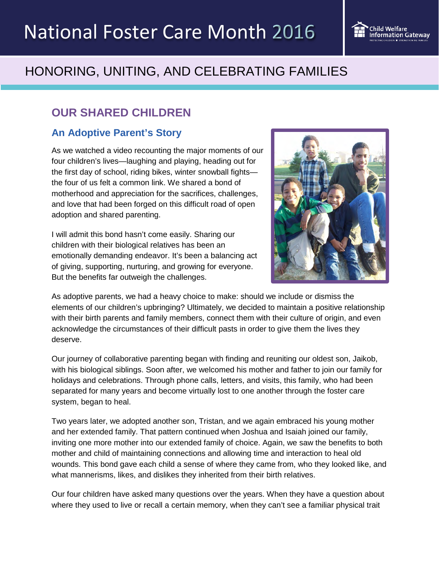

## HONORING, UNITING, AND CELEBRATING FAMILIES

## **OUR SHARED CHILDREN**

## **An Adoptive Parent's Story**

As we watched a video recounting the major moments of our four children's lives—laughing and playing, heading out for the first day of school, riding bikes, winter snowball fights the four of us felt a common link. We shared a bond of motherhood and appreciation for the sacrifices, challenges, and love that had been forged on this difficult road of open adoption and shared parenting.

I will admit this bond hasn't come easily. Sharing our children with their biological relatives has been an emotionally demanding endeavor. It's been a balancing act of giving, supporting, nurturing, and growing for everyone. But the benefits far outweigh the challenges.



As adoptive parents, we had a heavy choice to make: should we include or dismiss the elements of our children's upbringing? Ultimately, we decided to maintain a positive relationship with their birth parents and family members, connect them with their culture of origin, and even acknowledge the circumstances of their difficult pasts in order to give them the lives they deserve.

Our journey of collaborative parenting began with finding and reuniting our oldest son, Jaikob, with his biological siblings. Soon after, we welcomed his mother and father to join our family for holidays and celebrations. Through phone calls, letters, and visits, this family, who had been separated for many years and become virtually lost to one another through the foster care system, began to heal.

Two years later, we adopted another son, Tristan, and we again embraced his young mother and her extended family. That pattern continued when Joshua and Isaiah joined our family, inviting one more mother into our extended family of choice. Again, we saw the benefits to both mother and child of maintaining connections and allowing time and interaction to heal old wounds. This bond gave each child a sense of where they came from, who they looked like, and what mannerisms, likes, and dislikes they inherited from their birth relatives.

Our four children have asked many questions over the years. When they have a question about where they used to live or recall a certain memory, when they can't see a familiar physical trait